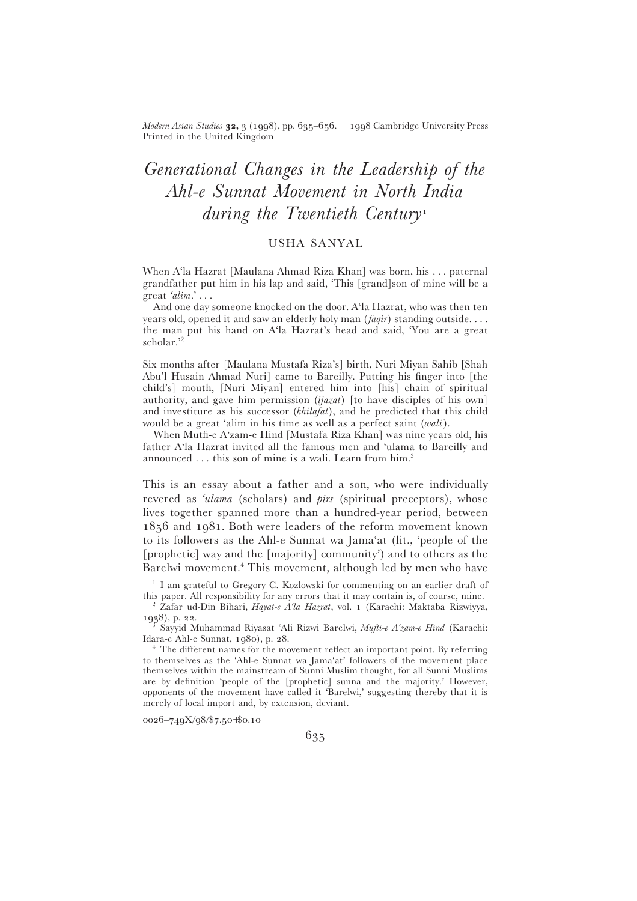*Modern Asian Studies* 32, 3 (1998), pp. 635-656. © 1998 Cambridge University Press Printed in the United Kingdom

# *Generational Changes in the Leadership of the Ahl-e Sunnat Movement in North India during the Twentieth Century*<sup>1</sup>

## USHA SANYAL

When A'la Hazrat [Maulana Ahmad Riza Khan] was born, his . . . paternal grandfather put him in his lap and said, 'This [grand]son of mine will be a great *'alim*.' . . .

And one day someone knocked on the door. A'la Hazrat, who was then ten years old, opened it and saw an elderly holy man (*faqir*) standing outside. . . . the man put his hand on A'la Hazrat's head and said, 'You are a great scholar.'2

Six months after [Maulana Mustafa Riza's] birth, Nuri Miyan Sahib [Shah Abu'l Husain Ahmad Nuri] came to Bareilly. Putting his finger into [the child's] mouth, [Nuri Miyan] entered him into [his] chain of spiritual authority, and gave him permission (*ijazat*) [to have disciples of his own] and investiture as his successor (*khilafat*), and he predicted that this child would be a great 'alim in his time as well as a perfect saint (*wali*).

When Mutfi-e A'zam-e Hind [Mustafa Riza Khan] was nine years old, his father A'la Hazrat invited all the famous men and 'ulama to Bareilly and announced . . . this son of mine is a wali. Learn from him.<sup>3</sup>

This is an essay about a father and a son, who were individually revered as *'ulama* (scholars) and *pirs* (spiritual preceptors), whose lives together spanned more than a hundred-year period, between 1856 and 1981. Both were leaders of the reform movement known to its followers as the Ahl-e Sunnat wa Jama'at (lit., 'people of the [prophetic] way and the [majority] community') and to others as the Barelwi movement.4 This movement, although led by men who have

<sup>1</sup> I am grateful to Gregory C. Kozlowski for commenting on an earlier draft of this paper. All responsibility for any errors that it may contain is, of course, mine.

Sayyid Muhammad Riyasat 'Ali Rizwi Barelwi, *Mufti-e A'zam-e Hind* (Karachi: Idara-e Ahl-e Sunnat, 1980), p. 28.<br><sup>4</sup> The different names for the movement reflect an important point. By referring

to themselves as the 'Ahl-e Sunnat wa Jama'at' followers of the movement place themselves within the mainstream of Sunni Muslim thought, for all Sunni Muslims are by definition 'people of the [prophetic] sunna and the majority.' However, opponents of the movement have called it 'Barelwi,' suggesting thereby that it is merely of local import and, by extension, deviant.

0026–749X/98/\$7.50+\$0.10

<sup>&</sup>lt;sup>2</sup> Zafar ud-Din Bihari, *Hayat-e A'la Hazrat*, vol. 1 (Karachi: Maktaba Rizwiyya, 1938), p. 22.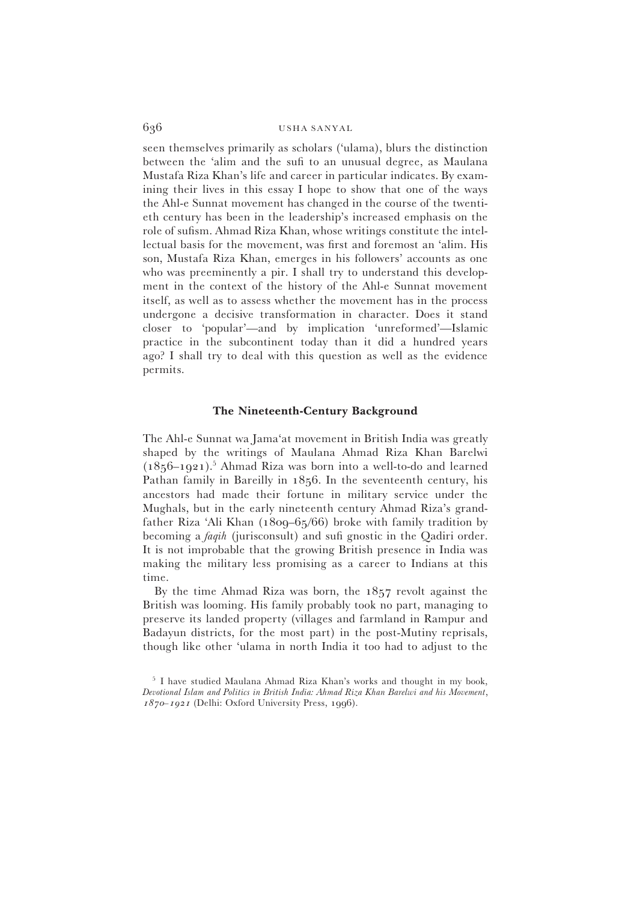seen themselves primarily as scholars ('ulama), blurs the distinction between the 'alim and the sufi to an unusual degree, as Maulana Mustafa Riza Khan's life and career in particular indicates. By examining their lives in this essay I hope to show that one of the ways the Ahl-e Sunnat movement has changed in the course of the twentieth century has been in the leadership's increased emphasis on the role of sufism. Ahmad Riza Khan, whose writings constitute the intellectual basis for the movement, was first and foremost an 'alim. His son, Mustafa Riza Khan, emerges in his followers' accounts as one who was preeminently a pir. I shall try to understand this development in the context of the history of the Ahl-e Sunnat movement itself, as well as to assess whether the movement has in the process undergone a decisive transformation in character. Does it stand closer to 'popular'—and by implication 'unreformed'—Islamic practice in the subcontinent today than it did a hundred years ago? I shall try to deal with this question as well as the evidence permits.

## **The Nineteenth-Century Background**

The Ahl-e Sunnat wa Jama'at movement in British India was greatly shaped by the writings of Maulana Ahmad Riza Khan Barelwi  $(1856-1921).$ <sup>5</sup> Ahmad Riza was born into a well-to-do and learned Pathan family in Bareilly in 1856. In the seventeenth century, his ancestors had made their fortune in military service under the Mughals, but in the early nineteenth century Ahmad Riza's grandfather Riza 'Ali Khan (1809–65/66) broke with family tradition by becoming a *faqih* (jurisconsult) and sufi gnostic in the Qadiri order. It is not improbable that the growing British presence in India was making the military less promising as a career to Indians at this time.

By the time Ahmad Riza was born, the 1857 revolt against the British was looming. His family probably took no part, managing to preserve its landed property (villages and farmland in Rampur and Badayun districts, for the most part) in the post-Mutiny reprisals, though like other 'ulama in north India it too had to adjust to the

<sup>5</sup> I have studied Maulana Ahmad Riza Khan's works and thought in my book, *Devotional Islam and Politics in British India: Ahmad Riza Khan Barelwi and his Movement*, *1870–1921* (Delhi: Oxford University Press, 1996).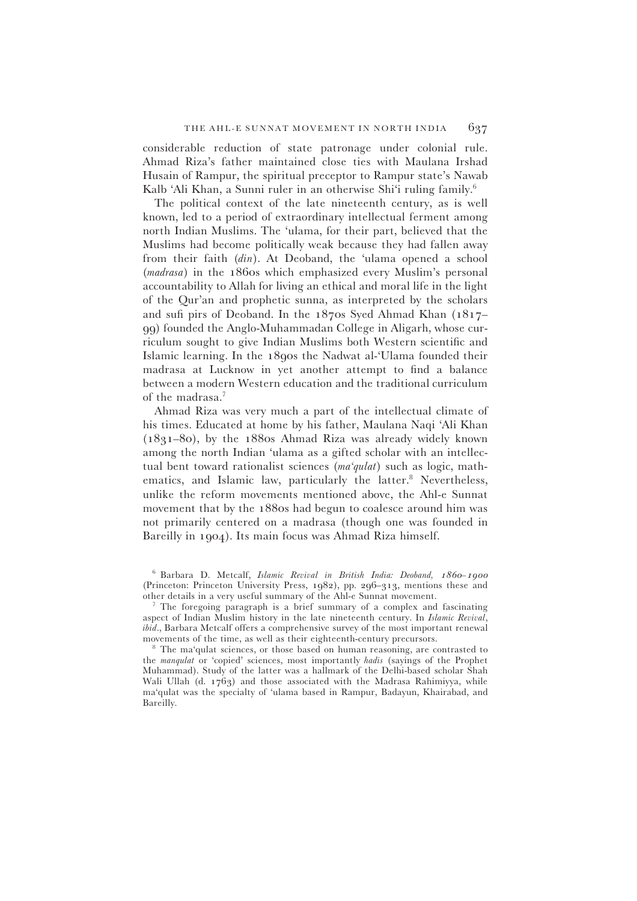considerable reduction of state patronage under colonial rule. Ahmad Riza's father maintained close ties with Maulana Irshad Husain of Rampur, the spiritual preceptor to Rampur state's Nawab Kalb 'Ali Khan, a Sunni ruler in an otherwise Shi'i ruling family.6

The political context of the late nineteenth century, as is well known, led to a period of extraordinary intellectual ferment among north Indian Muslims. The 'ulama, for their part, believed that the Muslims had become politically weak because they had fallen away from their faith (*din*). At Deoband, the 'ulama opened a school (*madrasa*) in the 1860s which emphasized every Muslim's personal accountability to Allah for living an ethical and moral life in the light of the Qur'an and prophetic sunna, as interpreted by the scholars and sufi pirs of Deoband. In the 1870s Syed Ahmad Khan (1817– 99) founded the Anglo-Muhammadan College in Aligarh, whose curriculum sought to give Indian Muslims both Western scientific and Islamic learning. In the 1890s the Nadwat al-'Ulama founded their madrasa at Lucknow in yet another attempt to find a balance between a modern Western education and the traditional curriculum of the madrasa.7

Ahmad Riza was very much a part of the intellectual climate of his times. Educated at home by his father, Maulana Naqi 'Ali Khan (1831–80), by the 1880s Ahmad Riza was already widely known among the north Indian 'ulama as a gifted scholar with an intellectual bent toward rationalist sciences (*ma'qulat*) such as logic, mathematics, and Islamic law, particularly the latter.<sup>8</sup> Nevertheless, unlike the reform movements mentioned above, the Ahl-e Sunnat movement that by the 1880s had begun to coalesce around him was not primarily centered on a madrasa (though one was founded in Bareilly in 1904). Its main focus was Ahmad Riza himself.

<sup>6</sup> Barbara D. Metcalf, *Islamic Revival in British India: Deoband, 1860–1900* (Princeton: Princeton University Press, 1982), pp. 296–313, mentions these and other details in a very useful summary of the Ahl-e Sunnat movement.<br><sup>7</sup> The foregoing paragraph is a brief summary of a complex and fascinating

aspect of Indian Muslim history in the late nineteenth century. In *Islamic Revival*, *ibid*., Barbara Metcalf offers a comprehensive survey of the most important renewal movements of the time, as well as their eighteenth-century precursors. <sup>8</sup> The ma'qulat sciences, or those based on human reasoning, are contrasted to

the *manqulat* or 'copied' sciences, most importantly *hadis* (sayings of the Prophet Muhammad). Study of the latter was a hallmark of the Delhi-based scholar Shah Wali Ullah (d. 1763) and those associated with the Madrasa Rahimiyya, while ma'qulat was the specialty of 'ulama based in Rampur, Badayun, Khairabad, and Bareilly.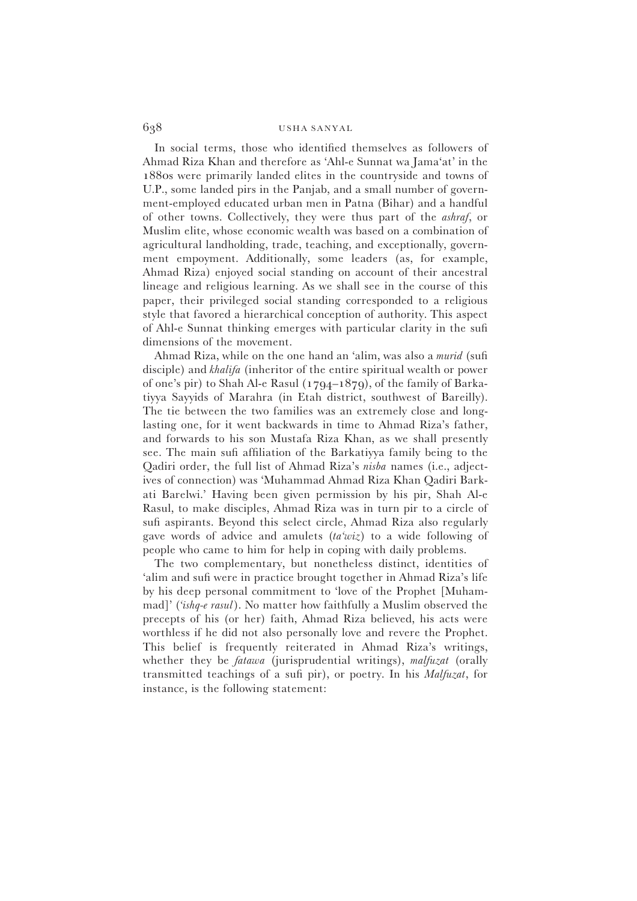In social terms, those who identified themselves as followers of Ahmad Riza Khan and therefore as 'Ahl-e Sunnat wa Jama'at' in the 1880s were primarily landed elites in the countryside and towns of U.P., some landed pirs in the Panjab, and a small number of government-employed educated urban men in Patna (Bihar) and a handful of other towns. Collectively, they were thus part of the *ashraf*, or Muslim elite, whose economic wealth was based on a combination of agricultural landholding, trade, teaching, and exceptionally, government empoyment. Additionally, some leaders (as, for example, Ahmad Riza) enjoyed social standing on account of their ancestral lineage and religious learning. As we shall see in the course of this paper, their privileged social standing corresponded to a religious style that favored a hierarchical conception of authority. This aspect of Ahl-e Sunnat thinking emerges with particular clarity in the sufi dimensions of the movement.

Ahmad Riza, while on the one hand an 'alim, was also a *murid* (sufi disciple) and *khalifa* (inheritor of the entire spiritual wealth or power of one's pir) to Shah Al-e Rasul (1794–1879), of the family of Barkatiyya Sayyids of Marahra (in Etah district, southwest of Bareilly). The tie between the two families was an extremely close and longlasting one, for it went backwards in time to Ahmad Riza's father, and forwards to his son Mustafa Riza Khan, as we shall presently see. The main sufi affiliation of the Barkatiyya family being to the Qadiri order, the full list of Ahmad Riza's *nisba* names (i.e., adjectives of connection) was 'Muhammad Ahmad Riza Khan Qadiri Barkati Barelwi.' Having been given permission by his pir, Shah Al-e Rasul, to make disciples, Ahmad Riza was in turn pir to a circle of sufi aspirants. Beyond this select circle, Ahmad Riza also regularly gave words of advice and amulets (*ta'wiz*) to a wide following of people who came to him for help in coping with daily problems.

The two complementary, but nonetheless distinct, identities of 'alim and sufi were in practice brought together in Ahmad Riza's life by his deep personal commitment to 'love of the Prophet [Muhammad]' (*'ishq-e rasul*). No matter how faithfully a Muslim observed the precepts of his (or her) faith, Ahmad Riza believed, his acts were worthless if he did not also personally love and revere the Prophet. This belief is frequently reiterated in Ahmad Riza's writings, whether they be *fatawa* (jurisprudential writings), *malfuzat* (orally transmitted teachings of a sufi pir), or poetry. In his *Malfuzat*, for instance, is the following statement: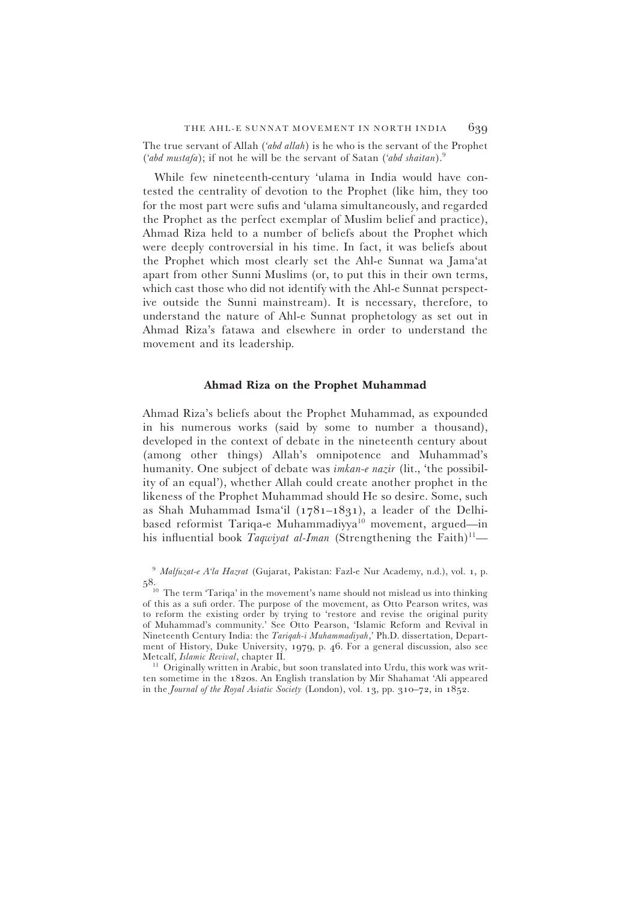The true servant of Allah (*'abd allah*) is he who is the servant of the Prophet (*'abd mustafa*); if not he will be the servant of Satan (*'abd shaitan*).9

While few nineteenth-century 'ulama in India would have contested the centrality of devotion to the Prophet (like him, they too for the most part were sufis and 'ulama simultaneously, and regarded the Prophet as the perfect exemplar of Muslim belief and practice), Ahmad Riza held to a number of beliefs about the Prophet which were deeply controversial in his time. In fact, it was beliefs about the Prophet which most clearly set the Ahl-e Sunnat wa Jama'at apart from other Sunni Muslims (or, to put this in their own terms, which cast those who did not identify with the Ahl-e Sunnat perspective outside the Sunni mainstream). It is necessary, therefore, to understand the nature of Ahl-e Sunnat prophetology as set out in Ahmad Riza's fatawa and elsewhere in order to understand the movement and its leadership.

## **Ahmad Riza on the Prophet Muhammad**

Ahmad Riza's beliefs about the Prophet Muhammad, as expounded in his numerous works (said by some to number a thousand), developed in the context of debate in the nineteenth century about (among other things) Allah's omnipotence and Muhammad's humanity. One subject of debate was *imkan-e nazir* (lit., 'the possibility of an equal'), whether Allah could create another prophet in the likeness of the Prophet Muhammad should He so desire. Some, such as Shah Muhammad Isma'il (1781–1831), a leader of the Delhibased reformist Tariqa-e Muhammadiyya<sup>10</sup> movement, argued-in his influential book *Taqwiyat al-Iman* (Strengthening the Faith)<sup>11</sup>—

<sup>9</sup> *Malfuzat-e A'la Hazrat* (Gujarat, Pakistan: Fazl-e Nur Academy, n.d.), vol. 1, p. 58.

Metcalf, *Islamic Revival*, chapter II.<br><sup>11</sup> Originally written in Arabic, but soon translated into Urdu, this work was written sometime in the 1820s. An English translation by Mir Shahamat 'Ali appeared in the *Journal of the Royal Asiatic Society* (London), vol. 13, pp. 310–72, in 1852.

<sup>&</sup>lt;sup>10</sup> The term 'Tariqa' in the movement's name should not mislead us into thinking of this as a sufi order. The purpose of the movement, as Otto Pearson writes, was to reform the existing order by trying to 'restore and revise the original purity of Muhammad's community.' See Otto Pearson, 'Islamic Reform and Revival in Nineteenth Century India: the *Tariqah-i Muhammadiyah*,' Ph.D. dissertation, Department of History, Duke University, 1979, p. 46. For a general discussion, also see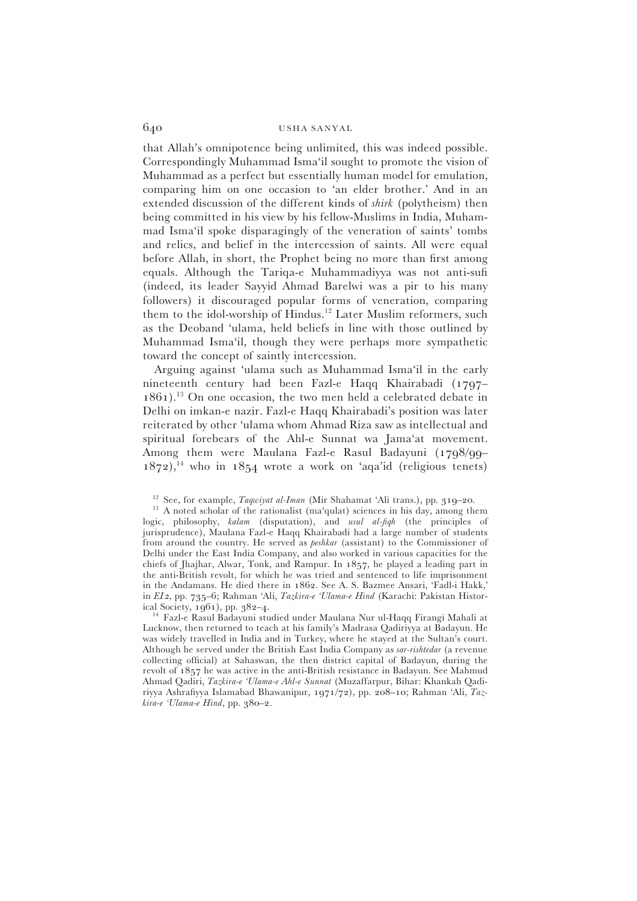that Allah's omnipotence being unlimited, this was indeed possible. Correspondingly Muhammad Isma'il sought to promote the vision of Muhammad as a perfect but essentially human model for emulation, comparing him on one occasion to 'an elder brother.' And in an extended discussion of the different kinds of *shirk* (polytheism) then being committed in his view by his fellow-Muslims in India, Muhammad Isma'il spoke disparagingly of the veneration of saints' tombs and relics, and belief in the intercession of saints. All were equal before Allah, in short, the Prophet being no more than first among equals. Although the Tariqa-e Muhammadiyya was not anti-sufi (indeed, its leader Sayyid Ahmad Barelwi was a pir to his many followers) it discouraged popular forms of veneration, comparing them to the idol-worship of Hindus.12 Later Muslim reformers, such as the Deoband 'ulama, held beliefs in line with those outlined by Muhammad Isma'il, though they were perhaps more sympathetic toward the concept of saintly intercession.

Arguing against 'ulama such as Muhammad Isma'il in the early nineteenth century had been Fazl-e Haqq Khairabadi (1797– 1861).13 On one occasion, the two men held a celebrated debate in Delhi on imkan-e nazir. Fazl-e Haqq Khairabadi's position was later reiterated by other 'ulama whom Ahmad Riza saw as intellectual and spiritual forebears of the Ahl-e Sunnat wa Jama'at movement. Among them were Maulana Fazl-e Rasul Badayuni (1798/99–  $1872$ ,<sup>14</sup> who in  $1854$  wrote a work on 'aqa'id (religious tenets)

<sup>14</sup> Fazl-e Rasul Badayuni studied under Maulana Nur ul-Haqq Firangi Mahali at Lucknow, then returned to teach at his family's Madrasa Qadiriyya at Badayun. He was widely travelled in India and in Turkey, where he stayed at the Sultan's court. Although he served under the British East India Company as *sar-rishtedar* (a revenue collecting official) at Sahaswan, the then district capital of Badayun, during the revolt of 1857 he was active in the anti-British resistance in Badayun. See Mahmud Ahmad Qadiri, *Tazkira-e 'Ulama-e Ahl-e Sunnat* (Muzaffarpur, Bihar: Khankah Qadiriyya Ashrafiyya Islamabad Bhawanipur, 1971/72), pp. 208–10; Rahman 'Ali, *Tazkira-e 'Ulama-e Hind*, pp. 380–2.

<sup>&</sup>lt;sup>12</sup> See, for example, *Taqwiyat al-Iman* (Mir Shahamat 'Ali trans.), pp. 319–20.<br><sup>13</sup> A noted scholar of the rationalist (ma'qulat) sciences in his day, among them logic, philosophy, *kalam* (disputation), and *usul al-fiqh* (the principles of jurisprudence), Maulana Fazl-e Haqq Khairabadi had a large number of students from around the country. He served as *peshkar* (assistant) to the Commissioner of Delhi under the East India Company, and also worked in various capacities for the chiefs of Jhajhar, Alwar, Tonk, and Rampur. In 1857, he played a leading part in the anti-British revolt, for which he was tried and sentenced to life imprisonment in the Andamans. He died there in 1862. See A. S. Bazmee Ansari, 'Fadl-i Hakk,' in *EI2*, pp. 735–6; Rahman 'Ali, *Tazkira-e 'Ulama-e Hind* (Karachi: Pakistan Histor-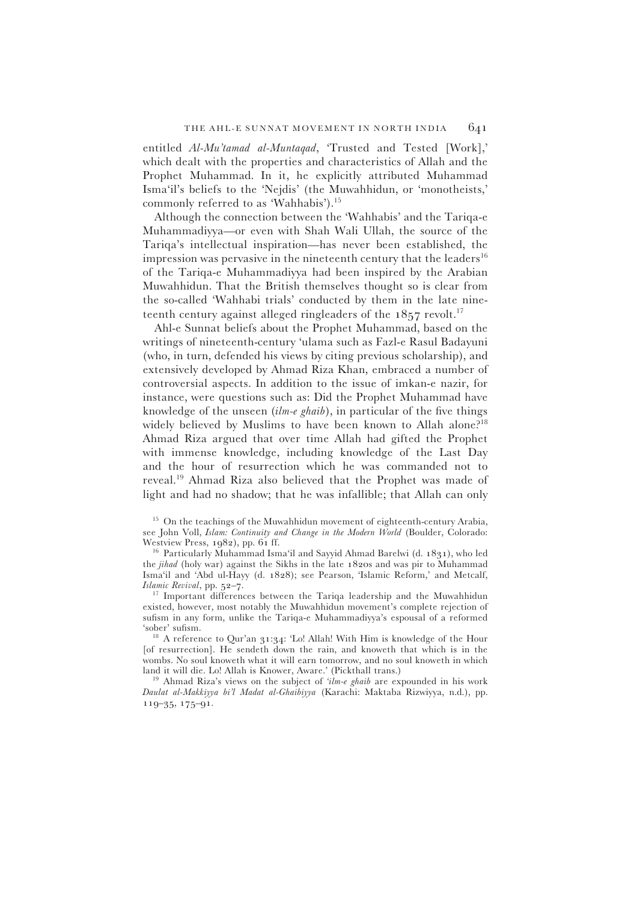entitled *Al-Mu'tamad al-Muntaqad*, 'Trusted and Tested [Work],' which dealt with the properties and characteristics of Allah and the Prophet Muhammad. In it, he explicitly attributed Muhammad Isma'il's beliefs to the 'Nejdis' (the Muwahhidun, or 'monotheists,' commonly referred to as 'Wahhabis').<sup>15</sup>

Although the connection between the 'Wahhabis' and the Tariqa-e Muhammadiyya—or even with Shah Wali Ullah, the source of the Tariqa's intellectual inspiration—has never been established, the impression was pervasive in the nineteenth century that the leaders<sup>16</sup> of the Tariqa-e Muhammadiyya had been inspired by the Arabian Muwahhidun. That the British themselves thought so is clear from the so-called 'Wahhabi trials' conducted by them in the late nineteenth century against alleged ringleaders of the  $1857$  revolt.<sup>17</sup>

Ahl-e Sunnat beliefs about the Prophet Muhammad, based on the writings of nineteenth-century 'ulama such as Fazl-e Rasul Badayuni (who, in turn, defended his views by citing previous scholarship), and extensively developed by Ahmad Riza Khan, embraced a number of controversial aspects. In addition to the issue of imkan-e nazir, for instance, were questions such as: Did the Prophet Muhammad have knowledge of the unseen (*ilm-e ghaib*), in particular of the five things widely believed by Muslims to have been known to Allah alone?<sup>18</sup> Ahmad Riza argued that over time Allah had gifted the Prophet with immense knowledge, including knowledge of the Last Day and the hour of resurrection which he was commanded not to reveal.19 Ahmad Riza also believed that the Prophet was made of light and had no shadow; that he was infallible; that Allah can only

<sup>15</sup> On the teachings of the Muwahhidun movement of eighteenth-century Arabia, see John Voll, *Islam: Continuity and Change in the Modern World* (Boulder, Colorado: Westview Press, 1982), pp. 61 ff.

<sup>16</sup> Particularly Muhammad Isma'il and Sayyid Ahmad Barelwi (d. 1831), who led the *jihad* (holy war) against the Sikhs in the late 1820s and was pir to Muhammad Isma'il and 'Abd ul-Hayy (d. 1828); see Pearson, 'Islamic Reform,' and Metcalf, *Islamic Revival*, pp. <sup>52</sup>–7. <sup>17</sup> Important differences between the Tariqa leadership and the Muwahhidun

existed, however, most notably the Muwahhidun movement's complete rejection of sufism in any form, unlike the Tariqa-e Muhammadiyya's espousal of a reformed

<sup>18</sup> A reference to Qur'an 31:34: 'Lo! Allah! With Him is knowledge of the Hour [of resurrection]. He sendeth down the rain, and knoweth that which is in the wombs. No soul knoweth what it will earn tomorrow, and no soul knoweth in which land it will die. Lo! Allah is Knower, Aware.' (Pickthall trans.) <sup>19</sup> Ahmad Riza's views on the subject of *'ilm-e ghaib* are expounded in his work

*Daulat al-Makkiyya bi'l Madat al-Ghaibiyya* (Karachi: Maktaba Rizwiyya, n.d.), pp. 119–35, 175–91.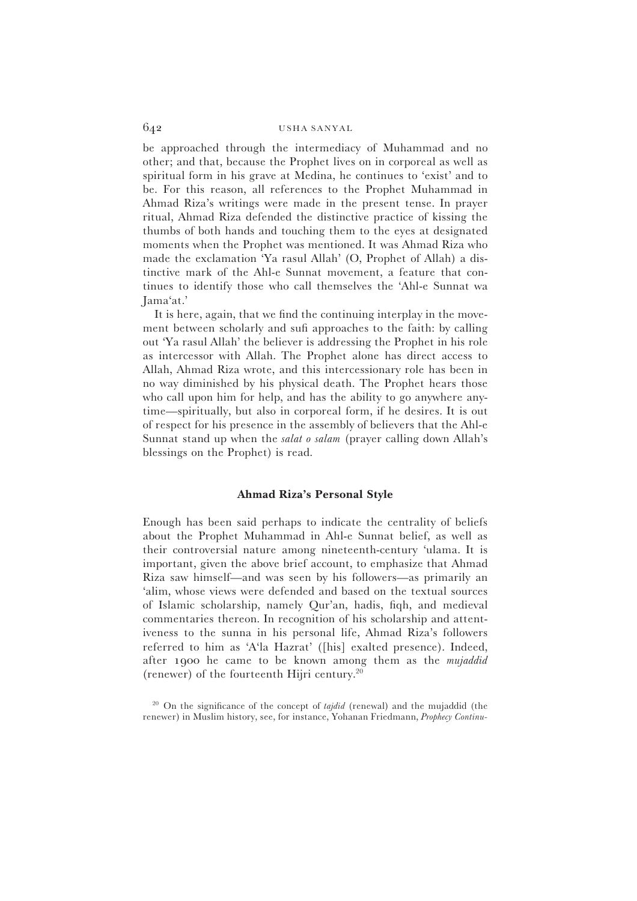be approached through the intermediacy of Muhammad and no other; and that, because the Prophet lives on in corporeal as well as spiritual form in his grave at Medina, he continues to 'exist' and to be. For this reason, all references to the Prophet Muhammad in Ahmad Riza's writings were made in the present tense. In prayer ritual, Ahmad Riza defended the distinctive practice of kissing the thumbs of both hands and touching them to the eyes at designated moments when the Prophet was mentioned. It was Ahmad Riza who made the exclamation 'Ya rasul Allah' (O, Prophet of Allah) a distinctive mark of the Ahl-e Sunnat movement, a feature that continues to identify those who call themselves the 'Ahl-e Sunnat wa Jama'at.'

It is here, again, that we find the continuing interplay in the movement between scholarly and sufi approaches to the faith: by calling out 'Ya rasul Allah' the believer is addressing the Prophet in his role as intercessor with Allah. The Prophet alone has direct access to Allah, Ahmad Riza wrote, and this intercessionary role has been in no way diminished by his physical death. The Prophet hears those who call upon him for help, and has the ability to go anywhere anytime—spiritually, but also in corporeal form, if he desires. It is out of respect for his presence in the assembly of believers that the Ahl-e Sunnat stand up when the *salat o salam* (prayer calling down Allah's blessings on the Prophet) is read.

## **Ahmad Riza's Personal Style**

Enough has been said perhaps to indicate the centrality of beliefs about the Prophet Muhammad in Ahl-e Sunnat belief, as well as their controversial nature among nineteenth-century 'ulama. It is important, given the above brief account, to emphasize that Ahmad Riza saw himself—and was seen by his followers—as primarily an 'alim, whose views were defended and based on the textual sources of Islamic scholarship, namely Qur'an, hadis, fiqh, and medieval commentaries thereon. In recognition of his scholarship and attentiveness to the sunna in his personal life, Ahmad Riza's followers referred to him as 'A'la Hazrat' ([his] exalted presence). Indeed, after 1900 he came to be known among them as the *mujaddid* (renewer) of the fourteenth Hijri century.20

<sup>20</sup> On the significance of the concept of *tajdid* (renewal) and the mujaddid (the renewer) in Muslim history, see, for instance, Yohanan Friedmann, *Prophecy Continu-*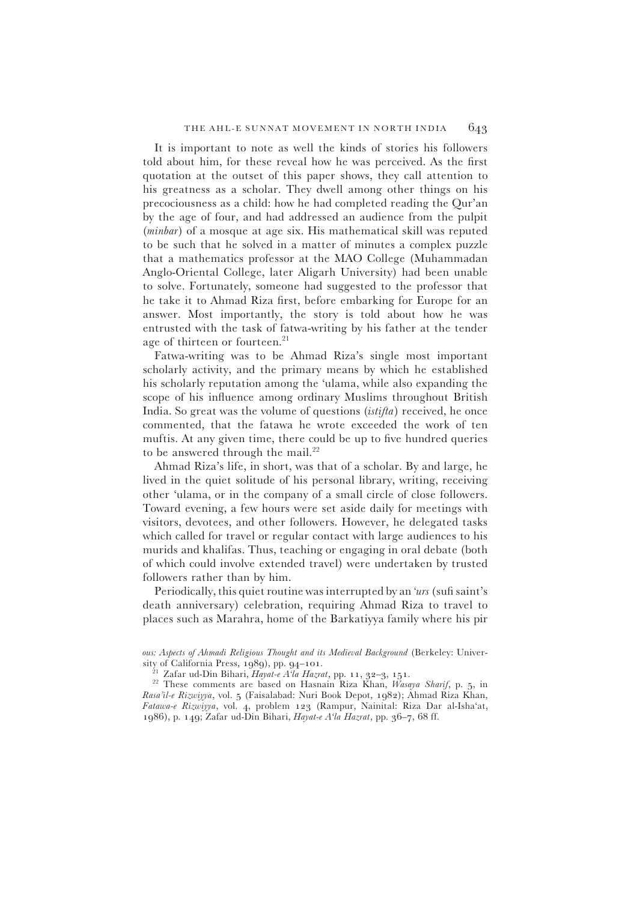It is important to note as well the kinds of stories his followers told about him, for these reveal how he was perceived. As the first quotation at the outset of this paper shows, they call attention to his greatness as a scholar. They dwell among other things on his precociousness as a child: how he had completed reading the Qur'an by the age of four, and had addressed an audience from the pulpit (*minbar*) of a mosque at age six. His mathematical skill was reputed to be such that he solved in a matter of minutes a complex puzzle that a mathematics professor at the MAO College (Muhammadan Anglo-Oriental College, later Aligarh University) had been unable to solve. Fortunately, someone had suggested to the professor that he take it to Ahmad Riza first, before embarking for Europe for an answer. Most importantly, the story is told about how he was entrusted with the task of fatwa-writing by his father at the tender age of thirteen or fourteen.<sup>21</sup>

Fatwa-writing was to be Ahmad Riza's single most important scholarly activity, and the primary means by which he established his scholarly reputation among the 'ulama, while also expanding the scope of his influence among ordinary Muslims throughout British India. So great was the volume of questions (*istifta*) received, he once commented, that the fatawa he wrote exceeded the work of ten muftis. At any given time, there could be up to five hundred queries to be answered through the mail.<sup>22</sup>

Ahmad Riza's life, in short, was that of a scholar. By and large, he lived in the quiet solitude of his personal library, writing, receiving other 'ulama, or in the company of a small circle of close followers. Toward evening, a few hours were set aside daily for meetings with visitors, devotees, and other followers. However, he delegated tasks which called for travel or regular contact with large audiences to his murids and khalifas. Thus, teaching or engaging in oral debate (both of which could involve extended travel) were undertaken by trusted followers rather than by him.

Periodically, this quiet routine was interrupted by an *'urs*(sufi saint's death anniversary) celebration, requiring Ahmad Riza to travel to places such as Marahra, home of the Barkatiyya family where his pir

*ous: Aspects of Ahmadi Religious Thought and its Medieval Background* (Berkeley: University of California Press, <sup>1989</sup>), pp. <sup>94</sup>–101. <sup>21</sup> Zafar ud-Din Bihari, *Hayat-e A'la Hazrat*, pp. <sup>11</sup>, <sup>32</sup>–3, <sup>151</sup>. <sup>22</sup> These comments are based on Hasnain Riza Khan, *Wasaya Sharif*, p. <sup>5</sup>, in

*Rasa'il-e Rizwiyya*, vol. 5 (Faisalabad: Nuri Book Depot, 1982); Ahmad Riza Khan, *Fatawa-e Rizwiyya*, vol. 4, problem 123 (Rampur, Nainital: Riza Dar al-Isha'at, 1986), p. 149; Zafar ud-Din Bihari, *Hayat-e A'la Hazrat*, pp. 36–7, 68 ff.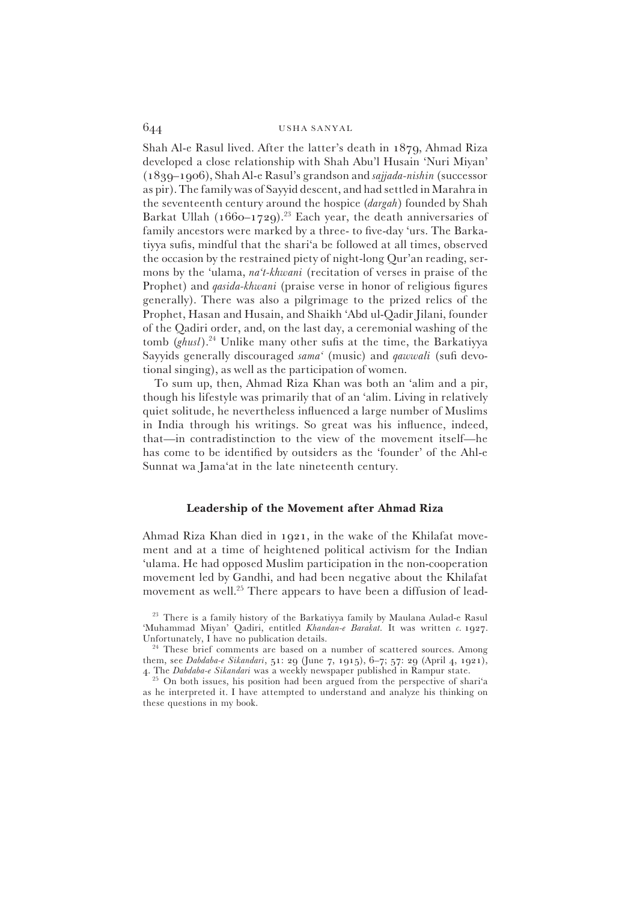Shah Al-e Rasul lived. After the latter's death in 1879, Ahmad Riza developed a close relationship with Shah Abu'l Husain 'Nuri Miyan' (1839–1906), Shah Al-e Rasul's grandson and *sajjada-nishin* (successor as pir). The family was of Sayyid descent, and had settled in Marahra in the seventeenth century around the hospice (*dargah*) founded by Shah Barkat Ullah (1660–1729).<sup>23</sup> Each year, the death anniversaries of family ancestors were marked by a three- to five-day 'urs. The Barkatiyya sufis, mindful that the shari'a be followed at all times, observed the occasion by the restrained piety of night-long Qur'an reading, sermons by the 'ulama, *na't-khwani* (recitation of verses in praise of the Prophet) and *qasida-khwani* (praise verse in honor of religious figures generally). There was also a pilgrimage to the prized relics of the Prophet, Hasan and Husain, and Shaikh 'Abd ul-Qadir Jilani, founder of the Qadiri order, and, on the last day, a ceremonial washing of the tomb (*ghusl*).<sup>24</sup> Unlike many other sufis at the time, the Barkatiyya Sayyids generally discouraged *sama'* (music) and *qawwali* (sufi devotional singing), as well as the participation of women.

To sum up, then, Ahmad Riza Khan was both an 'alim and a pir, though his lifestyle was primarily that of an 'alim. Living in relatively quiet solitude, he nevertheless influenced a large number of Muslims in India through his writings. So great was his influence, indeed, that—in contradistinction to the view of the movement itself—he has come to be identified by outsiders as the 'founder' of the Ahl-e Sunnat wa Jama'at in the late nineteenth century.

## **Leadership of the Movement after Ahmad Riza**

Ahmad Riza Khan died in 1921, in the wake of the Khilafat movement and at a time of heightened political activism for the Indian 'ulama. He had opposed Muslim participation in the non-cooperation movement led by Gandhi, and had been negative about the Khilafat movement as well.25 There appears to have been a diffusion of lead-

<sup>&</sup>lt;sup>23</sup> There is a family history of the Barkatiyya family by Maulana Aulad-e Rasul 'Muhammad Miyan' Qadiri, entitled *Khandan-e Barakat.* It was written *c.* 1927. Unfortunately, I have no publication details.  $24$  These brief comments are based on a number of scattered sources. Among

them, see *Dabdaba-e Sikandari*, 51: 29 (June 7, 1915), 6–7; 57: 29 (April 4, 1921), <sup>4</sup>. The *Dabdaba-e Sikandari* was a weekly newspaper published in Rampur state. <sup>25</sup> On both issues, his position had been argued from the perspective of shari'a

as he interpreted it. I have attempted to understand and analyze his thinking on these questions in my book.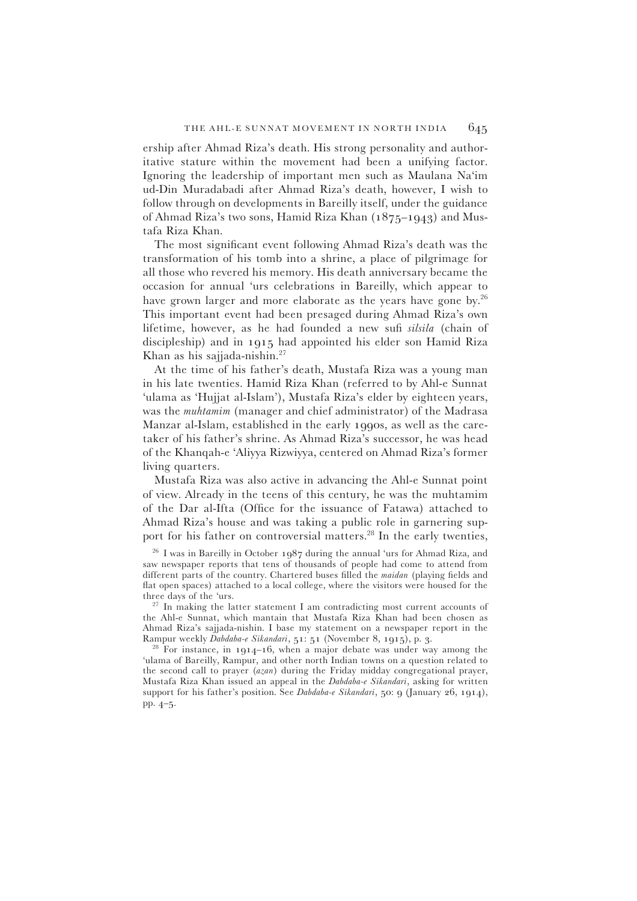ership after Ahmad Riza's death. His strong personality and authoritative stature within the movement had been a unifying factor. Ignoring the leadership of important men such as Maulana Na'im ud-Din Muradabadi after Ahmad Riza's death, however, I wish to follow through on developments in Bareilly itself, under the guidance of Ahmad Riza's two sons, Hamid Riza Khan (1875–1943) and Mustafa Riza Khan.

The most significant event following Ahmad Riza's death was the transformation of his tomb into a shrine, a place of pilgrimage for all those who revered his memory. His death anniversary became the occasion for annual 'urs celebrations in Bareilly, which appear to have grown larger and more elaborate as the years have gone by.<sup>26</sup> This important event had been presaged during Ahmad Riza's own lifetime, however, as he had founded a new sufi *silsila* (chain of discipleship) and in 1915 had appointed his elder son Hamid Riza Khan as his sajjada-nishin.27

At the time of his father's death, Mustafa Riza was a young man in his late twenties. Hamid Riza Khan (referred to by Ahl-e Sunnat 'ulama as 'Hujjat al-Islam'), Mustafa Riza's elder by eighteen years, was the *muhtamim* (manager and chief administrator) of the Madrasa Manzar al-Islam, established in the early 1990s, as well as the caretaker of his father's shrine. As Ahmad Riza's successor, he was head of the Khanqah-e 'Aliyya Rizwiyya, centered on Ahmad Riza's former living quarters.

Mustafa Riza was also active in advancing the Ahl-e Sunnat point of view. Already in the teens of this century, he was the muhtamim of the Dar al-Ifta (Office for the issuance of Fatawa) attached to Ahmad Riza's house and was taking a public role in garnering support for his father on controversial matters.<sup>28</sup> In the early twenties,

<sup>&</sup>lt;sup>26</sup> I was in Bareilly in October 1987 during the annual 'urs for Ahmad Riza, and saw newspaper reports that tens of thousands of people had come to attend from different parts of the country. Chartered buses filled the *maidan* (playing fields and flat open spaces) attached to a local college, where the visitors were housed for the three days of the 'urs.<br><sup>27</sup> In making the latter statement I am contradicting most current accounts of

the Ahl-e Sunnat, which mantain that Mustafa Riza Khan had been chosen as Ahmad Riza's sajjada-nishin. I base my statement on a newspaper report in the Rampur weekly *Dabdaba-e Sikandari*, 51: 51 (November 8, 1915), p. 3.<br><sup>28</sup> For instance, in 1914–16, when a major debate was under way among the

<sup>&#</sup>x27;ulama of Bareilly, Rampur, and other north Indian towns on a question related to the second call to prayer (*azan*) during the Friday midday congregational prayer, Mustafa Riza Khan issued an appeal in the *Dabdaba-e Sikandari*, asking for written support for his father's position. See *Dabdaba-e Sikandari*, 50: 9 (January 26, 1914), pp. 4–5.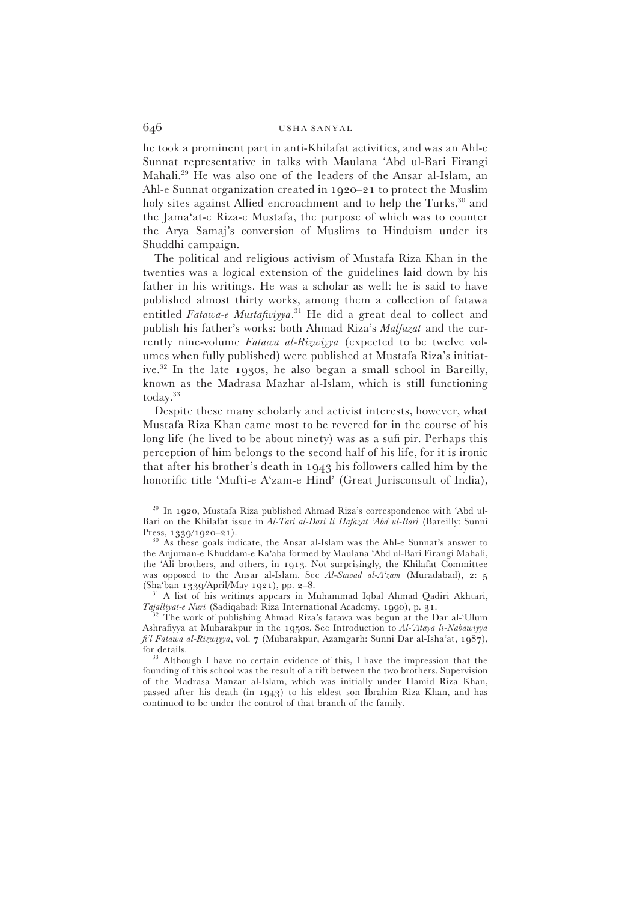he took a prominent part in anti-Khilafat activities, and was an Ahl-e Sunnat representative in talks with Maulana 'Abd ul-Bari Firangi Mahali.29 He was also one of the leaders of the Ansar al-Islam, an Ahl-e Sunnat organization created in 1920–21 to protect the Muslim holy sites against Allied encroachment and to help the Turks,<sup>30</sup> and the Jama'at-e Riza-e Mustafa, the purpose of which was to counter the Arya Samaj's conversion of Muslims to Hinduism under its Shuddhi campaign.

The political and religious activism of Mustafa Riza Khan in the twenties was a logical extension of the guidelines laid down by his father in his writings. He was a scholar as well: he is said to have published almost thirty works, among them a collection of fatawa entitled *Fatawa-e Mustafwiyya*. <sup>31</sup> He did a great deal to collect and publish his father's works: both Ahmad Riza's *Malfuzat* and the currently nine-volume *Fatawa al-Rizwiyya* (expected to be twelve volumes when fully published) were published at Mustafa Riza's initiative.32 In the late 1930s, he also began a small school in Bareilly, known as the Madrasa Mazhar al-Islam, which is still functioning today.33

Despite these many scholarly and activist interests, however, what Mustafa Riza Khan came most to be revered for in the course of his long life (he lived to be about ninety) was as a sufi pir. Perhaps this perception of him belongs to the second half of his life, for it is ironic that after his brother's death in 1943 his followers called him by the honorific title 'Mufti-e A'zam-e Hind' (Great Jurisconsult of India),

<sup>29</sup> In 1920, Mustafa Riza published Ahmad Riza's correspondence with 'Abd ul-Bari on the Khilafat issue in *Al-Tari al-Dari li Hafazat 'Abd ul-Bari* (Bareilly: Sunni

 $30$  As these goals indicate, the Ansar al-Islam was the Ahl-e Sunnat's answer to the Anjuman-e Khuddam-e Ka'aba formed by Maulana 'Abd ul-Bari Firangi Mahali, the 'Ali brothers, and others, in 1913. Not surprisingly, the Khilafat Committee was opposed to the Ansar al-Islam. See *Al-Sawad al-A'zam* (Muradabad), 2: 5

<sup>31</sup> A list of his writings appears in Muhammad Iqbal Ahmad Qadiri Akhtari, *Tajalliyat-e Nuri* (Sadiqabad: Riza International Academy, 1990), p. 31.

<sup>32</sup> The work of publishing Ahmad Riza's fatawa was begun at the Dar al-'Ulum Ashrafiyya at Mubarakpur in the 1950s. See Introduction to *Al-'Ataya li-Nabawiyya fi'l Fatawa al-Rizwiyya*, vol. 7 (Mubarakpur, Azamgarh: Sunni Dar al-Isha'at, 1987),

 $33$  Although I have no certain evidence of this, I have the impression that the founding of this school was the result of a rift between the two brothers. Supervision of the Madrasa Manzar al-Islam, which was initially under Hamid Riza Khan, passed after his death (in 1943) to his eldest son Ibrahim Riza Khan, and has continued to be under the control of that branch of the family.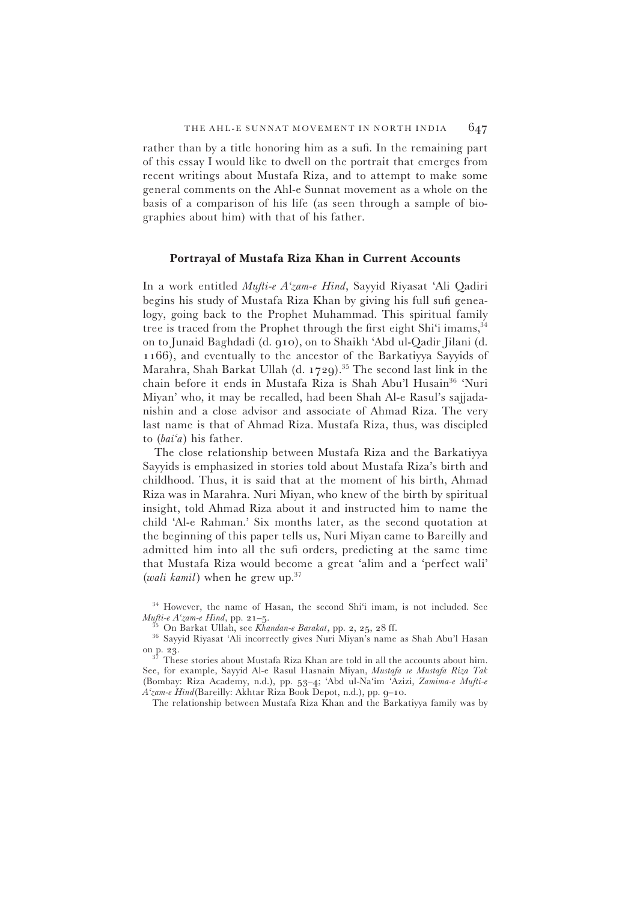rather than by a title honoring him as a sufi. In the remaining part of this essay I would like to dwell on the portrait that emerges from recent writings about Mustafa Riza, and to attempt to make some general comments on the Ahl-e Sunnat movement as a whole on the basis of a comparison of his life (as seen through a sample of biographies about him) with that of his father.

## **Portrayal of Mustafa Riza Khan in Current Accounts**

In a work entitled *Mufti-e A'zam-e Hind*, Sayyid Riyasat 'Ali Qadiri begins his study of Mustafa Riza Khan by giving his full sufi genealogy, going back to the Prophet Muhammad. This spiritual family tree is traced from the Prophet through the first eight Shi'i imams,  $34$ on to Junaid Baghdadi (d. 910), on to Shaikh 'Abd ul-Qadir Jilani (d. 1166), and eventually to the ancestor of the Barkatiyya Sayyids of Marahra, Shah Barkat Ullah (d. 1729).<sup>35</sup> The second last link in the chain before it ends in Mustafa Riza is Shah Abu'l Husain<sup>36</sup> 'Nuri Miyan' who, it may be recalled, had been Shah Al-e Rasul's sajjadanishin and a close advisor and associate of Ahmad Riza. The very last name is that of Ahmad Riza. Mustafa Riza, thus, was discipled to (*bai'a*) his father.

The close relationship between Mustafa Riza and the Barkatiyya Sayyids is emphasized in stories told about Mustafa Riza's birth and childhood. Thus, it is said that at the moment of his birth, Ahmad Riza was in Marahra. Nuri Miyan, who knew of the birth by spiritual insight, told Ahmad Riza about it and instructed him to name the child 'Al-e Rahman.' Six months later, as the second quotation at the beginning of this paper tells us, Nuri Miyan came to Bareilly and admitted him into all the sufi orders, predicting at the same time that Mustafa Riza would become a great 'alim and a 'perfect wali' (*wali kamil*) when he grew up.37

The relationship between Mustafa Riza Khan and the Barkatiyya family was by

<sup>&</sup>lt;sup>34</sup> However, the name of Hasan, the second Shi'i imam, is not included. See *Mufti-e A'zam-e Hind*, pp. 21–5.<br><sup>35</sup> On Barkat Ullah, see *Khandan-e Barakat*, pp. 2, 25, 28 ff.<br><sup>36</sup> Sayyid Riyasat 'Ali incorrectly gives Nuri Miyan's name as Shah Abu'l Hasan

on p. <sup>23</sup>. <sup>37</sup> These stories about Mustafa Riza Khan are told in all the accounts about him.

See, for example, Sayyid Al-e Rasul Hasnain Miyan, *Mustafa se Mustafa Riza Tak* (Bombay: Riza Academy, n.d.), pp. 53–4; 'Abd ul-Na'im 'Azizi, *Zamima-e Mufti-e A'zam-e Hind*(Bareilly: Akhtar Riza Book Depot, n.d.), pp. 9–10.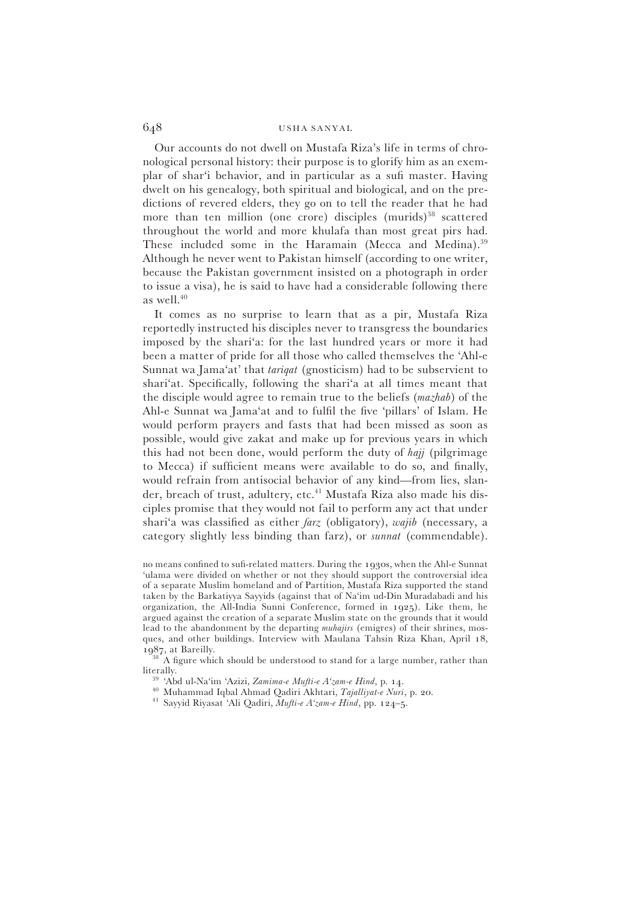Our accounts do not dwell on Mustafa Riza's life in terms of chronological personal history: their purpose is to glorify him as an exemplar of shar'i behavior, and in particular as a sufi master. Having dwelt on his genealogy, both spiritual and biological, and on the predictions of revered elders, they go on to tell the reader that he had more than ten million (one crore) disciples (murids)<sup>38</sup> scattered throughout the world and more khulafa than most great pirs had. These included some in the Haramain (Mecca and Medina).<sup>39</sup> Although he never went to Pakistan himself (according to one writer, because the Pakistan government insisted on a photograph in order to issue a visa), he is said to have had a considerable following there as well.<sup>40</sup>

It comes as no surprise to learn that as a pir, Mustafa Riza reportedly instructed his disciples never to transgress the boundaries imposed by the shari'a: for the last hundred years or more it had been a matter of pride for all those who called themselves the 'Ahl-e Sunnat wa Jama'at' that *tariqat* (gnosticism) had to be subservient to shari'at. Specifically, following the shari'a at all times meant that the disciple would agree to remain true to the beliefs (*mazhab*) of the Ahl-e Sunnat wa Jama'at and to fulfil the five 'pillars' of Islam. He would perform prayers and fasts that had been missed as soon as possible, would give zakat and make up for previous years in which this had not been done, would perform the duty of *hajj* (pilgrimage to Mecca) if sufficient means were available to do so, and finally, would refrain from antisocial behavior of any kind—from lies, slander, breach of trust, adultery, etc.<sup>41</sup> Mustafa Riza also made his disciples promise that they would not fail to perform any act that under shari'a was classified as either *farz* (obligatory), *wajib* (necessary, a category slightly less binding than farz), or *sunnat* (commendable).

no means confined to sufi-related matters. During the 1930s, when the Ahl-e Sunnat 'ulama were divided on whether or not they should support the controversial idea of a separate Muslim homeland and of Partition, Mustafa Riza supported the stand taken by the Barkatiyya Sayyids (against that of Na'im ud-Din Muradabadi and his organization, the All-India Sunni Conference, formed in 1925). Like them, he argued against the creation of a separate Muslim state on the grounds that it would lead to the abandonment by the departing *muhajirs* (emigres) of their shrines, mosques, and other buildings. Interview with Maulana Tahsin Riza Khan, April 18, 1987, at Bareilly.<br><sup>38</sup> A figure which should be understood to stand for a large number, rather than

literally. <sup>39</sup> 'Abd ul-Na'im 'Azizi, *Zamima-e Mufti-e A'zam-e Hind*, p. <sup>14</sup>. <sup>40</sup> Muhammad Iqbal Ahmad Qadiri Akhtari, *Tajalliyat-e Nuri*, p. <sup>20</sup>. <sup>41</sup> Sayyid Riyasat 'Ali Qadiri, *Mufti-e A'zam-e Hind*, pp. <sup>124</sup>–5.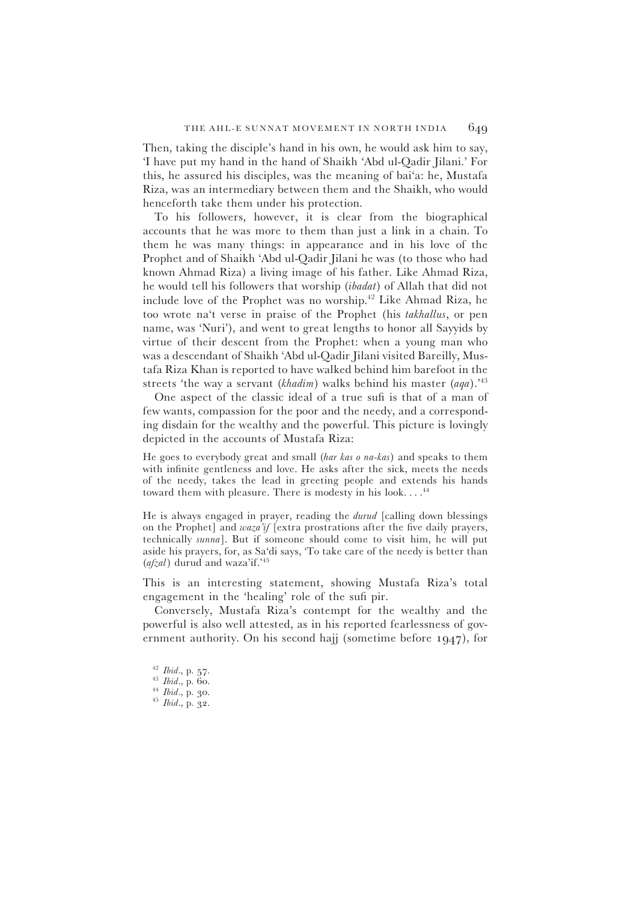Then, taking the disciple's hand in his own, he would ask him to say, 'I have put my hand in the hand of Shaikh 'Abd ul-Qadir Jilani.' For this, he assured his disciples, was the meaning of bai'a: he, Mustafa Riza, was an intermediary between them and the Shaikh, who would henceforth take them under his protection.

To his followers, however, it is clear from the biographical accounts that he was more to them than just a link in a chain. To them he was many things: in appearance and in his love of the Prophet and of Shaikh 'Abd ul-Qadir Jilani he was (to those who had known Ahmad Riza) a living image of his father. Like Ahmad Riza, he would tell his followers that worship (*ibadat*) of Allah that did not include love of the Prophet was no worship.42 Like Ahmad Riza, he too wrote na't verse in praise of the Prophet (his *takhallus*, or pen name, was 'Nuri'), and went to great lengths to honor all Sayyids by virtue of their descent from the Prophet: when a young man who was a descendant of Shaikh 'Abd ul-Qadir Jilani visited Bareilly, Mustafa Riza Khan is reported to have walked behind him barefoot in the streets 'the way a servant (*khadim*) walks behind his master (*aqa*).'43

One aspect of the classic ideal of a true sufi is that of a man of few wants, compassion for the poor and the needy, and a corresponding disdain for the wealthy and the powerful. This picture is lovingly depicted in the accounts of Mustafa Riza:

He goes to everybody great and small (*har kas o na-kas*) and speaks to them with infinite gentleness and love. He asks after the sick, meets the needs of the needy, takes the lead in greeting people and extends his hands toward them with pleasure. There is modesty in his look....<sup>44</sup>

He is always engaged in prayer, reading the *durud* [calling down blessings on the Prophet] and *waza'if* [extra prostrations after the five daily prayers, technically *sunna*]. But if someone should come to visit him, he will put aside his prayers, for, as Sa'di says, 'To take care of the needy is better than (*afzal*) durud and waza'if.'45

This is an interesting statement, showing Mustafa Riza's total engagement in the 'healing' role of the sufi pir.

Conversely, Mustafa Riza's contempt for the wealthy and the powerful is also well attested, as in his reported fearlessness of government authority. On his second hajj (sometime before 1947), for

<sup>42</sup> *Ibid*., p. <sup>57</sup>. <sup>43</sup> *Ibid*., p. <sup>60</sup>. <sup>44</sup> *Ibid*., p. <sup>30</sup>. <sup>45</sup> *Ibid*., p. <sup>32</sup>.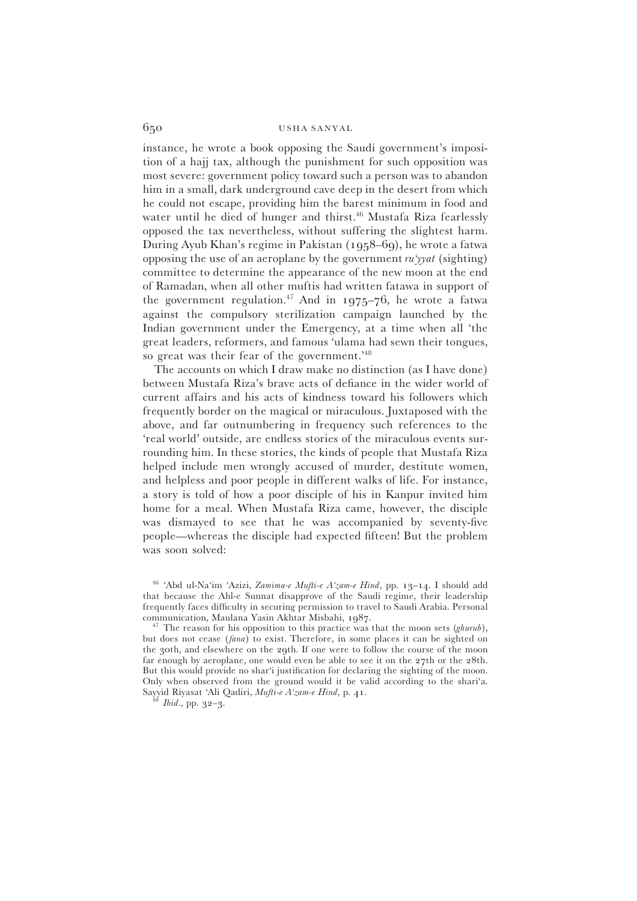instance, he wrote a book opposing the Saudi government's imposition of a hajj tax, although the punishment for such opposition was most severe: government policy toward such a person was to abandon him in a small, dark underground cave deep in the desert from which he could not escape, providing him the barest minimum in food and water until he died of hunger and thirst.<sup>46</sup> Mustafa Riza fearlessly opposed the tax nevertheless, without suffering the slightest harm. During Ayub Khan's regime in Pakistan (1958–69), he wrote a fatwa opposing the use of an aeroplane by the government *ru'yyat* (sighting) committee to determine the appearance of the new moon at the end of Ramadan, when all other muftis had written fatawa in support of the government regulation.<sup>47</sup> And in 1975–76, he wrote a fatwa against the compulsory sterilization campaign launched by the Indian government under the Emergency, at a time when all 'the great leaders, reformers, and famous 'ulama had sewn their tongues, so great was their fear of the government.<sup>48</sup>

The accounts on which I draw make no distinction (as I have done) between Mustafa Riza's brave acts of defiance in the wider world of current affairs and his acts of kindness toward his followers which frequently border on the magical or miraculous. Juxtaposed with the above, and far outnumbering in frequency such references to the 'real world' outside, are endless stories of the miraculous events surrounding him. In these stories, the kinds of people that Mustafa Riza helped include men wrongly accused of murder, destitute women, and helpless and poor people in different walks of life. For instance, a story is told of how a poor disciple of his in Kanpur invited him home for a meal. When Mustafa Riza came, however, the disciple was dismayed to see that he was accompanied by seventy-five people—whereas the disciple had expected fifteen! But the problem was soon solved:

<sup>46</sup> 'Abd ul-Na'im 'Azizi, *Zamima-e Mufti-e A'zam-e Hind*, pp. 13–14. I should add that because the Ahl-e Sunnat disapprove of the Saudi regime, their leadership frequently faces difficulty in securing permission to travel to Saudi Arabia. Personal

<sup>&</sup>lt;sup>47</sup> The reason for his opposition to this practice was that the moon sets (*ghurub*), but does not cease (*fana*) to exist. Therefore, in some places it can be sighted on the 30th, and elsewhere on the 29th. If one were to follow the course of the moon far enough by aeroplane, one would even be able to see it on the 27th or the 28th. But this would provide no shar'i justification for declaring the sighting of the moon. Only when observed from the ground would it be valid according to the shari'a. Sayyid Riyasat 'Ali Qadiri, *Mufti-e A'zam-e Hind*, p. <sup>41</sup>. <sup>48</sup> *Ibid*., pp. <sup>32</sup>–3.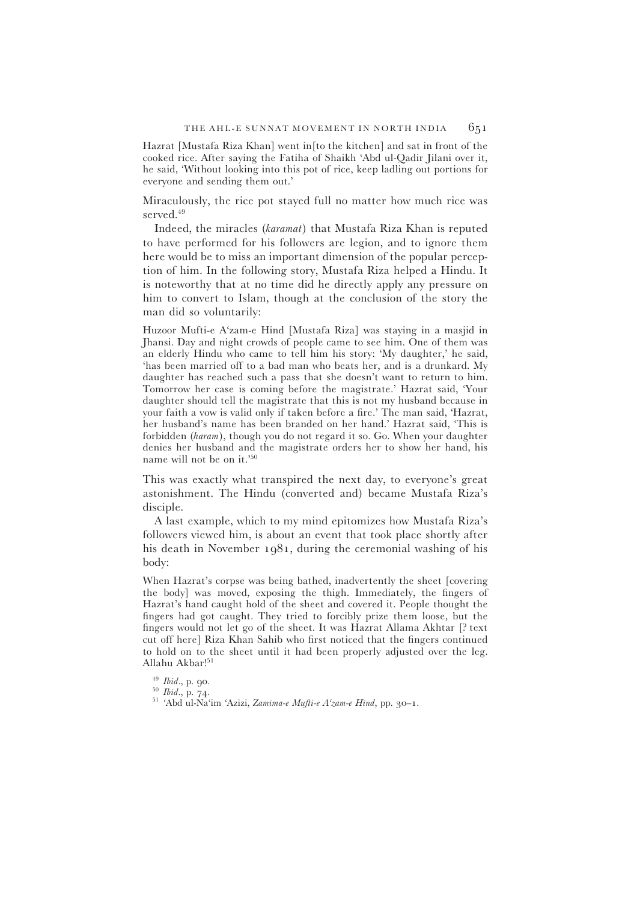Hazrat [Mustafa Riza Khan] went in[to the kitchen] and sat in front of the cooked rice. After saying the Fatiha of Shaikh 'Abd ul-Qadir Jilani over it, he said, 'Without looking into this pot of rice, keep ladling out portions for everyone and sending them out.'

Miraculously, the rice pot stayed full no matter how much rice was served.<sup>49</sup>

Indeed, the miracles (*karamat*) that Mustafa Riza Khan is reputed to have performed for his followers are legion, and to ignore them here would be to miss an important dimension of the popular perception of him. In the following story, Mustafa Riza helped a Hindu. It is noteworthy that at no time did he directly apply any pressure on him to convert to Islam, though at the conclusion of the story the man did so voluntarily:

Huzoor Mufti-e A'zam-e Hind [Mustafa Riza] was staying in a masjid in Jhansi. Day and night crowds of people came to see him. One of them was an elderly Hindu who came to tell him his story: 'My daughter,' he said, 'has been married off to a bad man who beats her, and is a drunkard. My daughter has reached such a pass that she doesn't want to return to him. Tomorrow her case is coming before the magistrate.' Hazrat said, 'Your daughter should tell the magistrate that this is not my husband because in your faith a vow is valid only if taken before a fire.' The man said, 'Hazrat, her husband's name has been branded on her hand.' Hazrat said, 'This is forbidden (*haram*), though you do not regard it so. Go. When your daughter denies her husband and the magistrate orders her to show her hand, his name will not be on it.'50

This was exactly what transpired the next day, to everyone's great astonishment. The Hindu (converted and) became Mustafa Riza's disciple.

A last example, which to my mind epitomizes how Mustafa Riza's followers viewed him, is about an event that took place shortly after his death in November 1981, during the ceremonial washing of his body:

When Hazrat's corpse was being bathed, inadvertently the sheet [covering the body] was moved, exposing the thigh. Immediately, the fingers of Hazrat's hand caught hold of the sheet and covered it. People thought the fingers had got caught. They tried to forcibly prize them loose, but the fingers would not let go of the sheet. It was Hazrat Allama Akhtar [? text cut off here] Riza Khan Sahib who first noticed that the fingers continued to hold on to the sheet until it had been properly adjusted over the leg. Allahu Akbar!<sup>51</sup>

<sup>49</sup> *Ibid*., p. <sup>90</sup>. <sup>50</sup> *Ibid*., p. <sup>74</sup>. <sup>51</sup> 'Abd ul-Na'im 'Azizi, *Zamima-e Mufti-e A'zam-e Hind*, pp. <sup>30</sup>–1.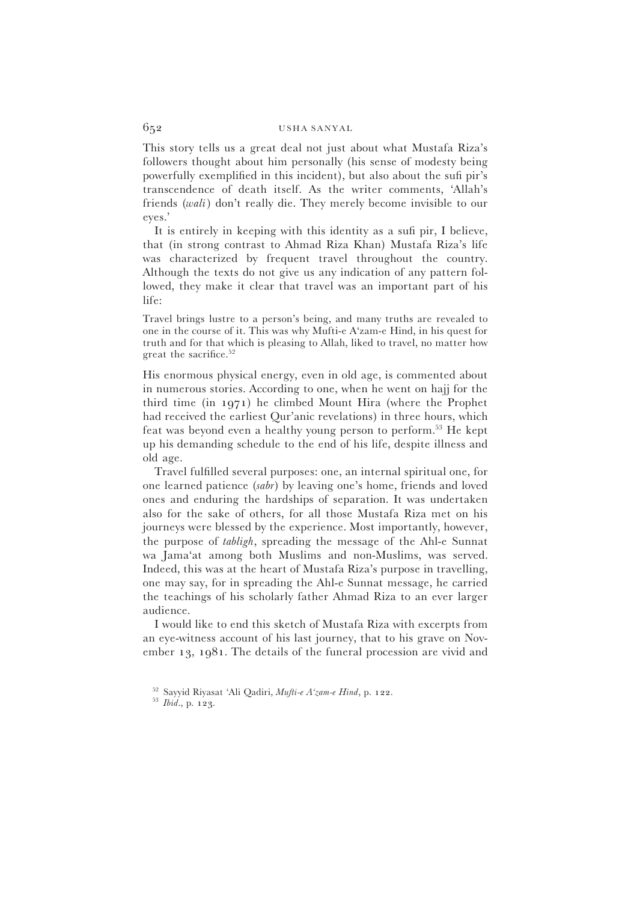This story tells us a great deal not just about what Mustafa Riza's followers thought about him personally (his sense of modesty being powerfully exemplified in this incident), but also about the sufi pir's transcendence of death itself. As the writer comments, 'Allah's friends (*wali*) don't really die. They merely become invisible to our eyes.'

It is entirely in keeping with this identity as a sufi pir, I believe, that (in strong contrast to Ahmad Riza Khan) Mustafa Riza's life was characterized by frequent travel throughout the country. Although the texts do not give us any indication of any pattern followed, they make it clear that travel was an important part of his life:

Travel brings lustre to a person's being, and many truths are revealed to one in the course of it. This was why Mufti-e A'zam-e Hind, in his quest for truth and for that which is pleasing to Allah, liked to travel, no matter how great the sacrifice.<sup>52</sup>

His enormous physical energy, even in old age, is commented about in numerous stories. According to one, when he went on hajj for the third time (in 1971) he climbed Mount Hira (where the Prophet had received the earliest Qur'anic revelations) in three hours, which feat was beyond even a healthy young person to perform.53 He kept up his demanding schedule to the end of his life, despite illness and old age.

Travel fulfilled several purposes: one, an internal spiritual one, for one learned patience (*sabr*) by leaving one's home, friends and loved ones and enduring the hardships of separation. It was undertaken also for the sake of others, for all those Mustafa Riza met on his journeys were blessed by the experience. Most importantly, however, the purpose of *tabligh*, spreading the message of the Ahl-e Sunnat wa Jama'at among both Muslims and non-Muslims, was served. Indeed, this was at the heart of Mustafa Riza's purpose in travelling, one may say, for in spreading the Ahl-e Sunnat message, he carried the teachings of his scholarly father Ahmad Riza to an ever larger audience.

I would like to end this sketch of Mustafa Riza with excerpts from an eye-witness account of his last journey, that to his grave on November 13, 1981. The details of the funeral procession are vivid and

<sup>52</sup> Sayyid Riyasat 'Ali Qadiri, *Mufti-e A'zam-e Hind*, p. <sup>122</sup>. <sup>53</sup> *Ibid*., p. <sup>123</sup>.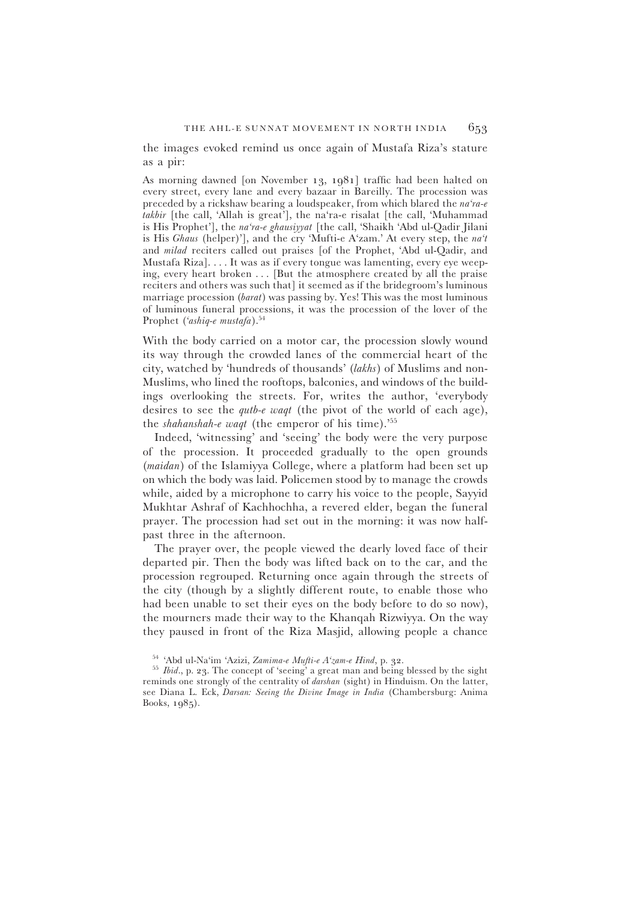the images evoked remind us once again of Mustafa Riza's stature as a pir:

As morning dawned [on November 13, 1981] traffic had been halted on every street, every lane and every bazaar in Bareilly. The procession was preceded by a rickshaw bearing a loudspeaker, from which blared the *na'ra-e takbir* [the call, 'Allah is great'], the na'ra-e risalat [the call, 'Muhammad is His Prophet'], the *na'ra-e ghausiyyat* [the call, 'Shaikh 'Abd ul-Qadir Jilani is His *Ghaus* (helper)'], and the cry 'Mufti-e A'zam.' At every step, the *na't* and *milad* reciters called out praises [of the Prophet, 'Abd ul-Qadir, and Mustafa Riza]. . . . It was as if every tongue was lamenting, every eye weeping, every heart broken . . . [But the atmosphere created by all the praise reciters and others was such that] it seemed as if the bridegroom's luminous marriage procession (*barat*) was passing by. Yes! This was the most luminous of luminous funeral processions, it was the procession of the lover of the Prophet ('ashiq-e mustafa).<sup>54</sup>

With the body carried on a motor car, the procession slowly wound its way through the crowded lanes of the commercial heart of the city, watched by 'hundreds of thousands' (*lakhs*) of Muslims and non-Muslims, who lined the rooftops, balconies, and windows of the buildings overlooking the streets. For, writes the author, 'everybody desires to see the *qutb-e waqt* (the pivot of the world of each age), the *shahanshah-e waqt* (the emperor of his time).'55

Indeed, 'witnessing' and 'seeing' the body were the very purpose of the procession. It proceeded gradually to the open grounds (*maidan*) of the Islamiyya College, where a platform had been set up on which the body was laid. Policemen stood by to manage the crowds while, aided by a microphone to carry his voice to the people, Sayyid Mukhtar Ashraf of Kachhochha, a revered elder, began the funeral prayer. The procession had set out in the morning: it was now halfpast three in the afternoon.

The prayer over, the people viewed the dearly loved face of their departed pir. Then the body was lifted back on to the car, and the procession regrouped. Returning once again through the streets of the city (though by a slightly different route, to enable those who had been unable to set their eyes on the body before to do so now), the mourners made their way to the Khanqah Rizwiyya. On the way they paused in front of the Riza Masjid, allowing people a chance

<sup>54</sup> 'Abd ul-Na'im 'Azizi, *Zamima-e Mufti-e A'zam-e Hind*, p. <sup>32</sup>. <sup>55</sup> *Ibid*., p. <sup>23</sup>. The concept of 'seeing' a great man and being blessed by the sight reminds one strongly of the centrality of *darshan* (sight) in Hinduism. On the latter, see Diana L. Eck, *Darsan: Seeing the Divine Image in India* (Chambersburg: Anima Books, 1985).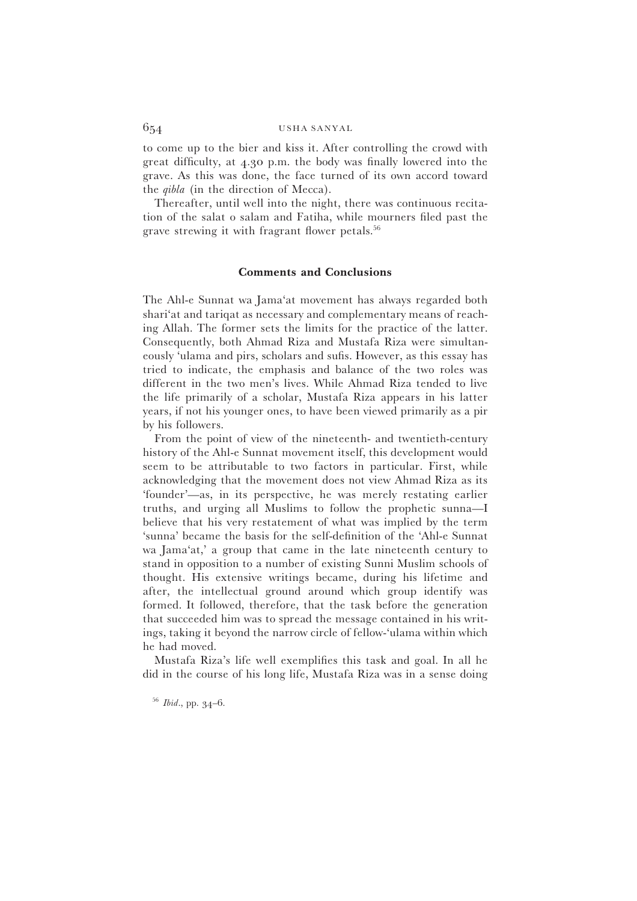to come up to the bier and kiss it. After controlling the crowd with great difficulty, at 4.30 p.m. the body was finally lowered into the grave. As this was done, the face turned of its own accord toward the *qibla* (in the direction of Mecca).

Thereafter, until well into the night, there was continuous recitation of the salat o salam and Fatiha, while mourners filed past the grave strewing it with fragrant flower petals.<sup>56</sup>

#### **Comments and Conclusions**

The Ahl-e Sunnat wa Jama'at movement has always regarded both shari'at and tariqat as necessary and complementary means of reaching Allah. The former sets the limits for the practice of the latter. Consequently, both Ahmad Riza and Mustafa Riza were simultaneously 'ulama and pirs, scholars and sufis. However, as this essay has tried to indicate, the emphasis and balance of the two roles was different in the two men's lives. While Ahmad Riza tended to live the life primarily of a scholar, Mustafa Riza appears in his latter years, if not his younger ones, to have been viewed primarily as a pir by his followers.

From the point of view of the nineteenth- and twentieth-century history of the Ahl-e Sunnat movement itself, this development would seem to be attributable to two factors in particular. First, while acknowledging that the movement does not view Ahmad Riza as its 'founder'—as, in its perspective, he was merely restating earlier truths, and urging all Muslims to follow the prophetic sunna—I believe that his very restatement of what was implied by the term 'sunna' became the basis for the self-definition of the 'Ahl-e Sunnat wa Jama'at,' a group that came in the late nineteenth century to stand in opposition to a number of existing Sunni Muslim schools of thought. His extensive writings became, during his lifetime and after, the intellectual ground around which group identify was formed. It followed, therefore, that the task before the generation that succeeded him was to spread the message contained in his writings, taking it beyond the narrow circle of fellow-'ulama within which he had moved.

Mustafa Riza's life well exemplifies this task and goal. In all he did in the course of his long life, Mustafa Riza was in a sense doing

<sup>56</sup> *Ibid*., pp. 34–6.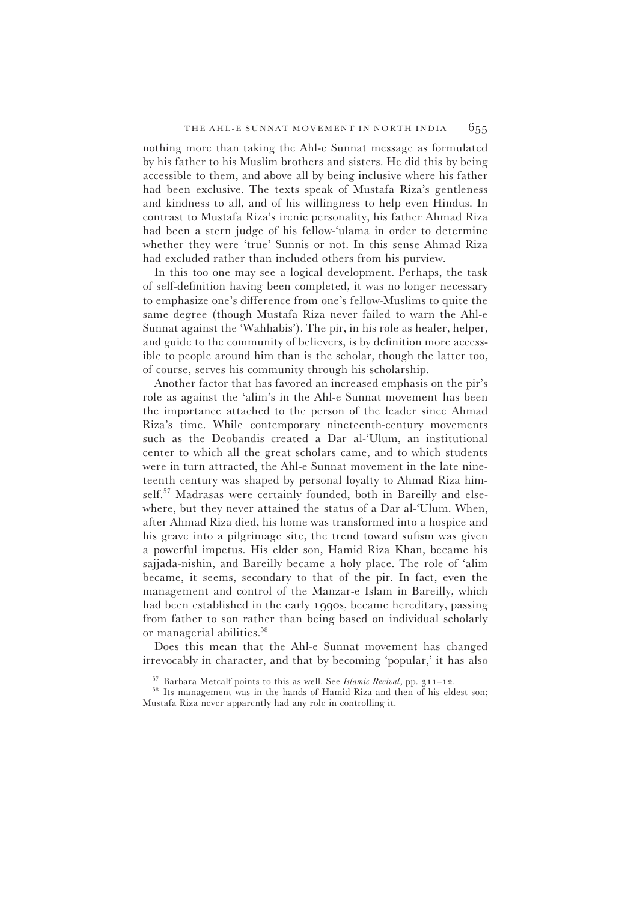nothing more than taking the Ahl-e Sunnat message as formulated by his father to his Muslim brothers and sisters. He did this by being accessible to them, and above all by being inclusive where his father had been exclusive. The texts speak of Mustafa Riza's gentleness and kindness to all, and of his willingness to help even Hindus. In contrast to Mustafa Riza's irenic personality, his father Ahmad Riza had been a stern judge of his fellow-'ulama in order to determine whether they were 'true' Sunnis or not. In this sense Ahmad Riza had excluded rather than included others from his purview.

In this too one may see a logical development. Perhaps, the task of self-definition having been completed, it was no longer necessary to emphasize one's difference from one's fellow-Muslims to quite the same degree (though Mustafa Riza never failed to warn the Ahl-e Sunnat against the 'Wahhabis'). The pir, in his role as healer, helper, and guide to the community of believers, is by definition more accessible to people around him than is the scholar, though the latter too, of course, serves his community through his scholarship.

Another factor that has favored an increased emphasis on the pir's role as against the 'alim's in the Ahl-e Sunnat movement has been the importance attached to the person of the leader since Ahmad Riza's time. While contemporary nineteenth-century movements such as the Deobandis created a Dar al-'Ulum, an institutional center to which all the great scholars came, and to which students were in turn attracted, the Ahl-e Sunnat movement in the late nineteenth century was shaped by personal loyalty to Ahmad Riza himself.57 Madrasas were certainly founded, both in Bareilly and elsewhere, but they never attained the status of a Dar al-'Ulum. When, after Ahmad Riza died, his home was transformed into a hospice and his grave into a pilgrimage site, the trend toward sufism was given a powerful impetus. His elder son, Hamid Riza Khan, became his sajjada-nishin, and Bareilly became a holy place. The role of 'alim became, it seems, secondary to that of the pir. In fact, even the management and control of the Manzar-e Islam in Bareilly, which had been established in the early 1990s, became hereditary, passing from father to son rather than being based on individual scholarly or managerial abilities.58

Does this mean that the Ahl-e Sunnat movement has changed irrevocably in character, and that by becoming 'popular,' it has also

<sup>57</sup> Barbara Metcalf points to this as well. See *Islamic Revival*, pp. <sup>311</sup>–12. <sup>58</sup> Its management was in the hands of Hamid Riza and then of his eldest son; Mustafa Riza never apparently had any role in controlling it.